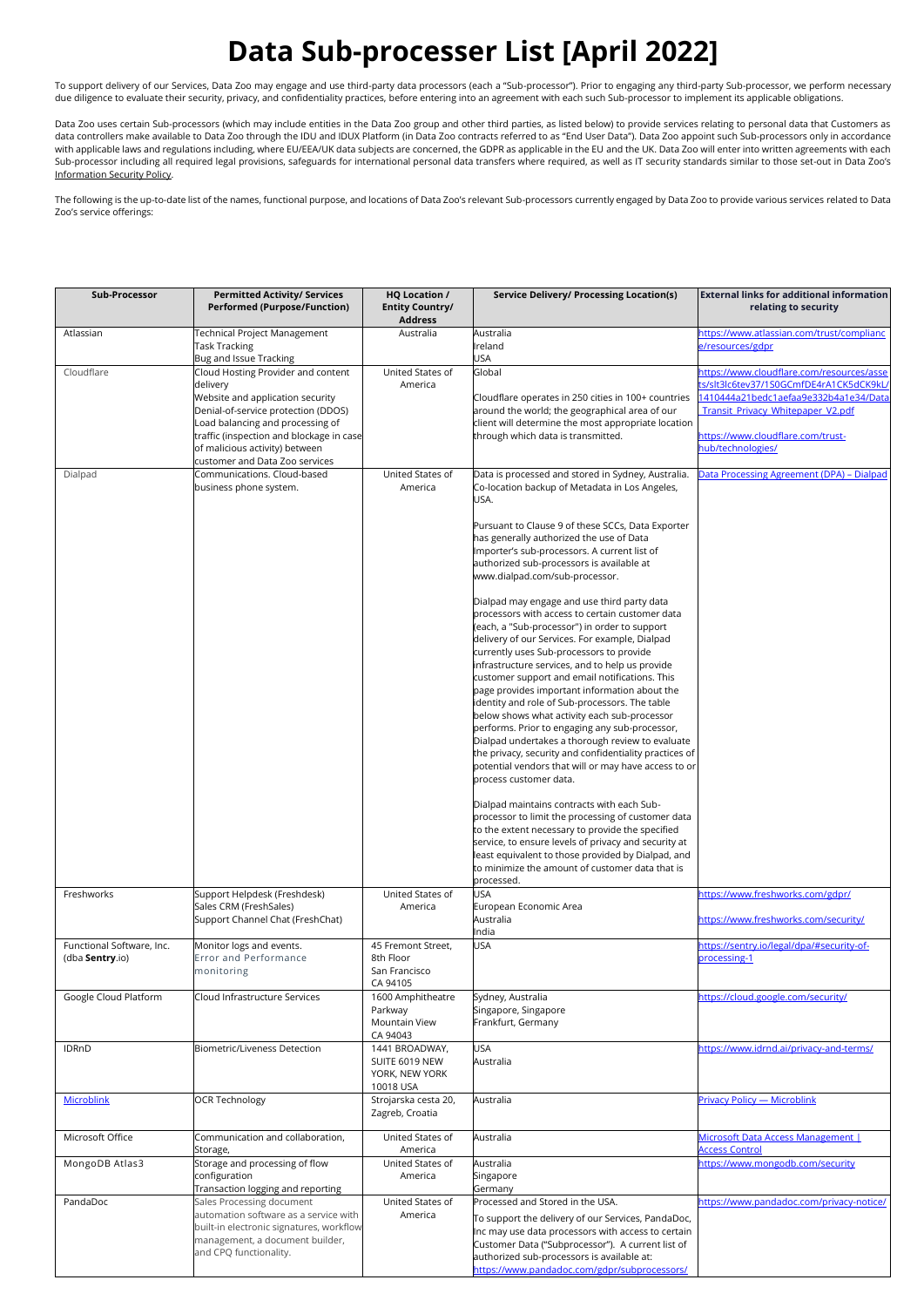## **Data Sub-processer List [April 2022]**

To support delivery of our Services, Data Zoo may engage and use third-party data processors (each a "Sub-processor"). Prior to engaging any third-party Sub-processor, we perform necessary due diligence to evaluate their security, privacy, and confidentiality practices, before entering into an agreement with each such Sub-processor to implement its applicable obligations.

Data Zoo uses certain Sub-processors (which may include entities in the Data Zoo group and other third parties, as listed below) to provide services relating to personal data that Customers as data controllers make available to Data Zoo through the IDU and IDUX Platform (in Data Zoo contracts referred to as "End User Data"). Data Zoo appoint such Sub-processors only in accordance with applicable laws and regulations including, where EU/EEA/UK data subjects are concerned, the GDPR as applicable in the EU and the UK. Data Zoo will enter into written agreements with each with each product the UK. Data Sub-processor including all required legal provisions, safeguards for international personal data transfers where required, as well as IT security standards similar to those set-out in Data Zoo's Information Security Policy.

The following is the up-to-date list of the names, functional purpose, and locations of Data Zoo's relevant Sub-processors currently engaged by Data Zoo to provide various services related to Data Zoo's service offerings:

| Sub-Processor                                | <b>Permitted Activity/ Services</b><br><b>Performed (Purpose/Function)</b>                                                                                                                                                                                                    | <b>HQ Location /</b><br><b>Entity Country/</b><br><b>Address</b>            | Service Delivery/ Processing Location(s)                                                                                                                                                                                                                                                                                                                                                                                                                                                                                                                                                                                                                                                                                                                                                                                                                                                                                                                                                                                                                                                                                                                                                                                                                                                                                                                                                                                                       | <b>External links for additional information</b><br>relating to security                                                                                                                                                    |
|----------------------------------------------|-------------------------------------------------------------------------------------------------------------------------------------------------------------------------------------------------------------------------------------------------------------------------------|-----------------------------------------------------------------------------|------------------------------------------------------------------------------------------------------------------------------------------------------------------------------------------------------------------------------------------------------------------------------------------------------------------------------------------------------------------------------------------------------------------------------------------------------------------------------------------------------------------------------------------------------------------------------------------------------------------------------------------------------------------------------------------------------------------------------------------------------------------------------------------------------------------------------------------------------------------------------------------------------------------------------------------------------------------------------------------------------------------------------------------------------------------------------------------------------------------------------------------------------------------------------------------------------------------------------------------------------------------------------------------------------------------------------------------------------------------------------------------------------------------------------------------------|-----------------------------------------------------------------------------------------------------------------------------------------------------------------------------------------------------------------------------|
| Atlassian                                    | <b>Fechnical Project Management</b>                                                                                                                                                                                                                                           | Australia                                                                   | Australia                                                                                                                                                                                                                                                                                                                                                                                                                                                                                                                                                                                                                                                                                                                                                                                                                                                                                                                                                                                                                                                                                                                                                                                                                                                                                                                                                                                                                                      | https://www.atlassian.com/trust/complianc                                                                                                                                                                                   |
|                                              | <b>Task Tracking</b><br>Bug and Issue Tracking                                                                                                                                                                                                                                |                                                                             | Ireland<br><b>USA</b>                                                                                                                                                                                                                                                                                                                                                                                                                                                                                                                                                                                                                                                                                                                                                                                                                                                                                                                                                                                                                                                                                                                                                                                                                                                                                                                                                                                                                          | e/resources/gdpr                                                                                                                                                                                                            |
| Cloudflare                                   | Cloud Hosting Provider and content<br>delivery<br>Website and application security<br>Denial-of-service protection (DDOS)<br>Load balancing and processing of<br>traffic (inspection and blockage in case<br>of malicious activity) between<br>customer and Data Zoo services | United States of<br>America                                                 | Global<br>Cloudflare operates in 250 cities in 100+ countries<br>around the world; the geographical area of our<br>client will determine the most appropriate location<br>through which data is transmitted.                                                                                                                                                                                                                                                                                                                                                                                                                                                                                                                                                                                                                                                                                                                                                                                                                                                                                                                                                                                                                                                                                                                                                                                                                                   | https://www.cloudflare.com/resources/asse<br>:s/slt3lc6tev37/1S0GCmfDE4rA1CK5dCK9kL<br>1410444a21bedc1aefaa9e332b4a1e34/Data<br>Transit_Privacy_Whitepaper_V2.pdf<br>https://www.cloudflare.com/trust-<br>hub/technologies/ |
| Dialpad                                      | Communications. Cloud-based<br>business phone system.                                                                                                                                                                                                                         | United States of<br>America                                                 | Data is processed and stored in Sydney, Australia.<br>Co-location backup of Metadata in Los Angeles,<br>USA.<br>Pursuant to Clause 9 of these SCCs, Data Exporter<br>has generally authorized the use of Data<br>Importer's sub-processors. A current list of<br>authorized sub-processors is available at<br>www.dialpad.com/sub-processor.<br>Dialpad may engage and use third party data<br>processors with access to certain customer data<br>(each, a "Sub-processor") in order to support<br>delivery of our Services. For example, Dialpad<br>currently uses Sub-processors to provide<br>infrastructure services, and to help us provide<br>customer support and email notifications. This<br>page provides important information about the<br>identity and role of Sub-processors. The table<br>below shows what activity each sub-processor<br>performs. Prior to engaging any sub-processor,<br>Dialpad undertakes a thorough review to evaluate<br>the privacy, security and confidentiality practices of<br>potential vendors that will or may have access to or<br>process customer data.<br>Dialpad maintains contracts with each Sub-<br>processor to limit the processing of customer data<br>to the extent necessary to provide the specified<br>service, to ensure levels of privacy and security at<br>least equivalent to those provided by Dialpad, and<br>to minimize the amount of customer data that is<br>processed. | Data Processing Agreement (DPA) - Dialpad                                                                                                                                                                                   |
| Freshworks                                   | Support Helpdesk (Freshdesk)<br>Sales CRM (FreshSales)<br>Support Channel Chat (FreshChat)                                                                                                                                                                                    | United States of<br>America                                                 | <b>USA</b><br>European Economic Area<br>Australia<br>India                                                                                                                                                                                                                                                                                                                                                                                                                                                                                                                                                                                                                                                                                                                                                                                                                                                                                                                                                                                                                                                                                                                                                                                                                                                                                                                                                                                     | https://www.freshworks.com/gdpr/<br>https://www.freshworks.com/security/                                                                                                                                                    |
| Functional Software, Inc.<br>(dba Sentry.io) | Monitor logs and events.<br><b>Error and Performance</b><br>monitoring                                                                                                                                                                                                        | 45 Fremont Street,<br>8th Floor<br>San Francisco<br>CA 94105                | <b>USA</b>                                                                                                                                                                                                                                                                                                                                                                                                                                                                                                                                                                                                                                                                                                                                                                                                                                                                                                                                                                                                                                                                                                                                                                                                                                                                                                                                                                                                                                     | https://sentry.io/legal/dpa/#security-of-<br>processing-1                                                                                                                                                                   |
| Google Cloud Platform<br><b>IDRnD</b>        | Cloud Infrastructure Services<br><b>Biometric/Liveness Detection</b>                                                                                                                                                                                                          | 1600 Amphitheatre<br>Parkway<br>Mountain View<br>CA 94043<br>1441 BROADWAY, | Sydney, Australia<br>Singapore, Singapore<br>Frankfurt, Germany<br><b>USA</b>                                                                                                                                                                                                                                                                                                                                                                                                                                                                                                                                                                                                                                                                                                                                                                                                                                                                                                                                                                                                                                                                                                                                                                                                                                                                                                                                                                  | https://cloud.google.com/security/<br>https://www.idrnd.ai/privacy-and-terms/                                                                                                                                               |
|                                              |                                                                                                                                                                                                                                                                               | SUITE 6019 NEW<br>YORK, NEW YORK<br>10018 USA                               | Australia                                                                                                                                                                                                                                                                                                                                                                                                                                                                                                                                                                                                                                                                                                                                                                                                                                                                                                                                                                                                                                                                                                                                                                                                                                                                                                                                                                                                                                      |                                                                                                                                                                                                                             |
| <b>Microblink</b>                            | <b>OCR Technology</b>                                                                                                                                                                                                                                                         | Strojarska cesta 20,<br>Zagreb, Croatia                                     | Australia                                                                                                                                                                                                                                                                                                                                                                                                                                                                                                                                                                                                                                                                                                                                                                                                                                                                                                                                                                                                                                                                                                                                                                                                                                                                                                                                                                                                                                      | <b>Privacy Policy - Microblink</b>                                                                                                                                                                                          |
| Microsoft Office                             | Communication and collaboration,<br>Storage,                                                                                                                                                                                                                                  | United States of<br>America                                                 | Australia                                                                                                                                                                                                                                                                                                                                                                                                                                                                                                                                                                                                                                                                                                                                                                                                                                                                                                                                                                                                                                                                                                                                                                                                                                                                                                                                                                                                                                      | Microsoft Data Access Management  <br><b>Access Control</b>                                                                                                                                                                 |
| MongoDB Atlas3                               | Storage and processing of flow<br>configuration<br>Transaction logging and reporting                                                                                                                                                                                          | United States of<br>America                                                 | Australia<br>Singapore<br>Germany                                                                                                                                                                                                                                                                                                                                                                                                                                                                                                                                                                                                                                                                                                                                                                                                                                                                                                                                                                                                                                                                                                                                                                                                                                                                                                                                                                                                              | https://www.mongodb.com/security                                                                                                                                                                                            |
| PandaDoc                                     | Sales Processing document<br>automation software as a service with<br>built-in electronic signatures, workflow<br>management, a document builder,<br>and CPQ functionality.                                                                                                   | United States of<br>America                                                 | Processed and Stored in the USA.<br>To support the delivery of our Services, PandaDoc,<br>Inc may use data processors with access to certain<br>Customer Data ("Subprocessor"). A current list of<br>authorized sub-processors is available at:<br>https://www.pandadoc.com/gdpr/subprocessors/                                                                                                                                                                                                                                                                                                                                                                                                                                                                                                                                                                                                                                                                                                                                                                                                                                                                                                                                                                                                                                                                                                                                                | https://www.pandadoc.com/privacy-notice/                                                                                                                                                                                    |